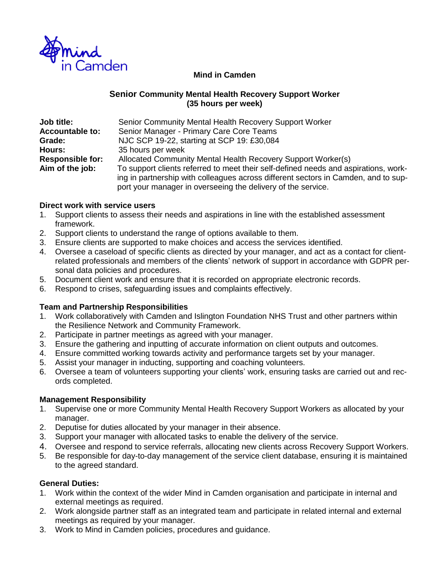

## **Mind in Camden**

### **Senior Community Mental Health Recovery Support Worker (35 hours per week)**

| <b>Job title:</b>       | Senior Community Mental Health Recovery Support Worker                                                                                                                                                                                    |
|-------------------------|-------------------------------------------------------------------------------------------------------------------------------------------------------------------------------------------------------------------------------------------|
| <b>Accountable to:</b>  | Senior Manager - Primary Care Core Teams                                                                                                                                                                                                  |
| Grade:                  | NJC SCP 19-22, starting at SCP 19: £30,084                                                                                                                                                                                                |
| <b>Hours:</b>           | 35 hours per week                                                                                                                                                                                                                         |
| <b>Responsible for:</b> | Allocated Community Mental Health Recovery Support Worker(s)                                                                                                                                                                              |
| Aim of the job:         | To support clients referred to meet their self-defined needs and aspirations, work-<br>ing in partnership with colleagues across different sectors in Camden, and to sup-<br>port your manager in overseeing the delivery of the service. |

#### **Direct work with service users**

- 1. Support clients to assess their needs and aspirations in line with the established assessment framework.
- 2. Support clients to understand the range of options available to them.
- 3. Ensure clients are supported to make choices and access the services identified.
- 4. Oversee a caseload of specific clients as directed by your manager, and act as a contact for clientrelated professionals and members of the clients' network of support in accordance with GDPR personal data policies and procedures.
- 5. Document client work and ensure that it is recorded on appropriate electronic records.
- 6. Respond to crises, safeguarding issues and complaints effectively.

## **Team and Partnership Responsibilities**

- 1. Work collaboratively with Camden and Islington Foundation NHS Trust and other partners within the Resilience Network and Community Framework.
- 2. Participate in partner meetings as agreed with your manager.
- 3. Ensure the gathering and inputting of accurate information on client outputs and outcomes.
- 4. Ensure committed working towards activity and performance targets set by your manager.
- 5. Assist your manager in inducting, supporting and coaching volunteers.
- 6. Oversee a team of volunteers supporting your clients' work, ensuring tasks are carried out and records completed.

#### **Management Responsibility**

- 1. Supervise one or more Community Mental Health Recovery Support Workers as allocated by your manager.
- 2. Deputise for duties allocated by your manager in their absence.
- 3. Support your manager with allocated tasks to enable the delivery of the service.
- 4. Oversee and respond to service referrals, allocating new clients across Recovery Support Workers.
- 5. Be responsible for day-to-day management of the service client database, ensuring it is maintained to the agreed standard.

#### **General Duties:**

- 1. Work within the context of the wider Mind in Camden organisation and participate in internal and external meetings as required.
- 2. Work alongside partner staff as an integrated team and participate in related internal and external meetings as required by your manager.
- 3. Work to Mind in Camden policies, procedures and guidance.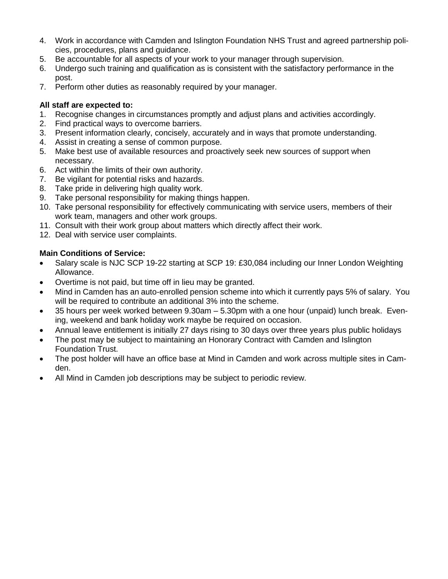- 4. Work in accordance with Camden and Islington Foundation NHS Trust and agreed partnership policies, procedures, plans and guidance.
- 5. Be accountable for all aspects of your work to your manager through supervision.
- 6. Undergo such training and qualification as is consistent with the satisfactory performance in the post.
- 7. Perform other duties as reasonably required by your manager.

# **All staff are expected to:**

- 1. Recognise changes in circumstances promptly and adjust plans and activities accordingly.
- 2. Find practical ways to overcome barriers.
- 3. Present information clearly, concisely, accurately and in ways that promote understanding.
- 4. Assist in creating a sense of common purpose.
- 5. Make best use of available resources and proactively seek new sources of support when necessary.
- 6. Act within the limits of their own authority.
- 7. Be vigilant for potential risks and hazards.
- 8. Take pride in delivering high quality work.
- 9. Take personal responsibility for making things happen.
- 10. Take personal responsibility for effectively communicating with service users, members of their work team, managers and other work groups.
- 11. Consult with their work group about matters which directly affect their work.
- 12. Deal with service user complaints.

## **Main Conditions of Service:**

- Salary scale is NJC SCP 19-22 starting at SCP 19: £30,084 including our Inner London Weighting Allowance.
- Overtime is not paid, but time off in lieu may be granted.
- Mind in Camden has an auto-enrolled pension scheme into which it currently pays 5% of salary. You will be required to contribute an additional 3% into the scheme.
- 35 hours per week worked between 9.30am 5.30pm with a one hour (unpaid) lunch break. Evening, weekend and bank holiday work maybe be required on occasion.
- Annual leave entitlement is initially 27 days rising to 30 days over three years plus public holidays
- The post may be subject to maintaining an Honorary Contract with Camden and Islington Foundation Trust.
- The post holder will have an office base at Mind in Camden and work across multiple sites in Camden.
- All Mind in Camden job descriptions may be subject to periodic review.